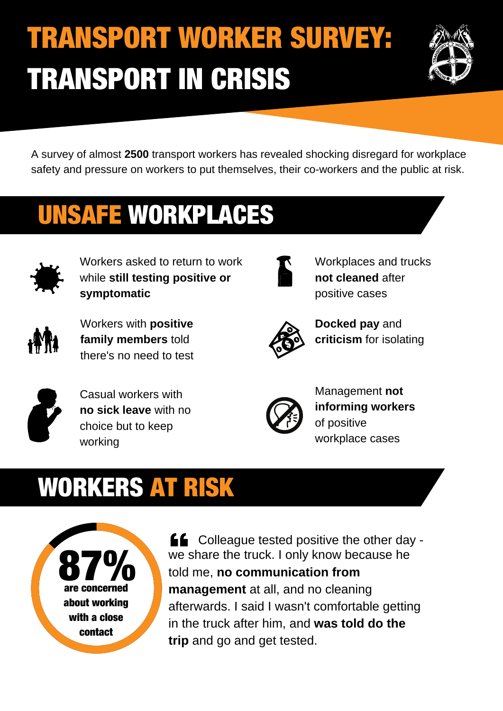# TRANSPORT WORKER SURVEY: TRANSPORT IN CRISIS



A survey of almost **2500** transport workers has revealed shocking disregard for workplace safety and pressure on workers to put themselves, their co-workers and the public at risk.

### UNSAFE WORKPLACES



Workers asked to return to work while **still testing positive or symptomatic**



Workers with **positive family members** told there's no need to test



Workplaces and trucks **not cleaned** after positive cases



**Docked pay** and **criticism** for isolating



Casual workers with **no sick leave** with no choice but to keep working



Management **not informing workers** of positive workplace cases

#### WORKERS AT RISK



**LE** Colleague tested positive the other day we share the truck. I only know because he told me, **no communication from management** at all, and no cleaning afterwards. I said I wasn't comfortable getting in the truck after him, and **was told do the trip** and go and get tested.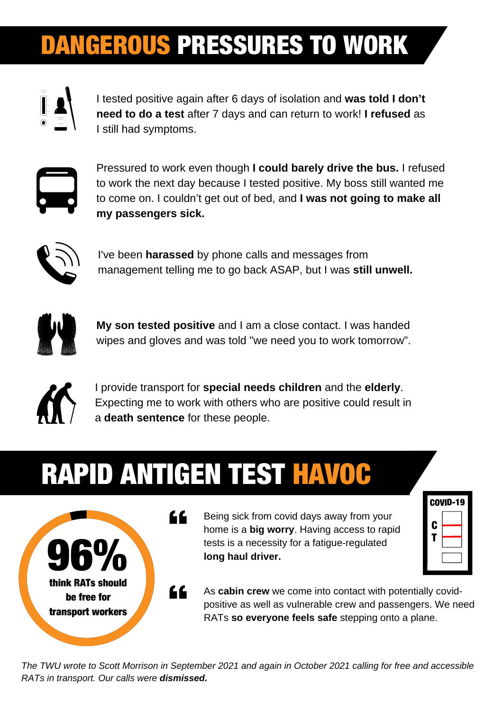#### DANGEROUS PRESSURES TO WORK



I tested positive again after 6 days of isolation and **was told I don't need to do a test** after 7 days and can return to work! **I refused** as I still had symptoms.



Pressured to work even though **I could barely drive the bus.** I refused to work the next day because I tested positive. My boss still wanted me to come on. I couldn't get out of bed, and **I was not going to make all my passengers sick.**



I've been **harassed** by phone calls and messages from management telling me to go back ASAP, but I was **still unwell.**



**My son tested positive** and I am a close contact. I was handed wipes and gloves and was told "we need you to work tomorrow".



I provide transport for **special needs children** and the **elderly**. Expecting me to work with others who are positive could result in a **death sentence** for these people.

## RAPID ANTIGEN TEST HAVOC



Being sick from covid days away from your home is a **big worry**. Having access to rapid tests is a necessity for a fatigue-regulated **long haul driver.**

| COVID-19 |  |  |
|----------|--|--|
| C        |  |  |
|          |  |  |
|          |  |  |

As **cabin crew** we come into contact with potentially covidpositive as well as vulnerable crew and passengers. We need RATs **so everyone feels safe** stepping onto a plane.

The TWU wrote to Scott Morrison in September 2021 and again in October 2021 calling for free and accessible *RATs in transport. Our calls were dismissed.*